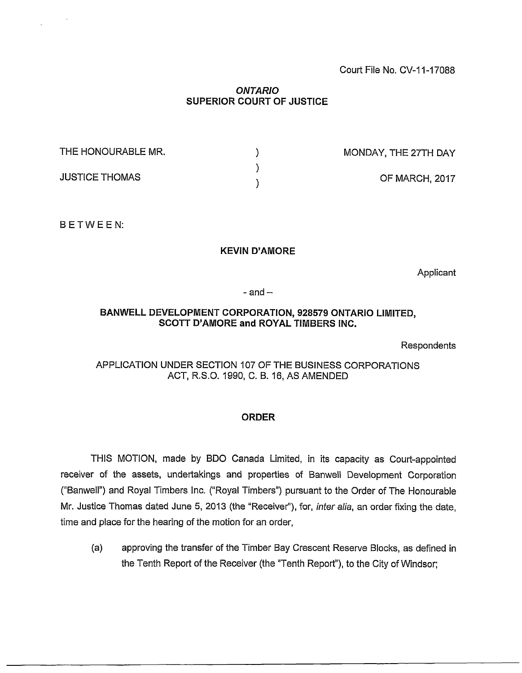# *ONTARIO* **SUPERIOR COURT OF JUSTICE**

| THE HONOURABLE MR.    | MONDAY, THE 27TH DAY |
|-----------------------|----------------------|
| <b>JUSTICE THOMAS</b> |                      |
|                       | OF MARCH, 2017       |

<sup>B</sup> ETWE <sup>E</sup> N:

## **KEVIN D'AMORE**

**Applicant** 

 $-$  and  $-$ 

# **BANWELL DEVELOPMENT CORPORATION, 928579 ONTARIO LIMITED, SCOTT D'AMORE and ROYAL TIMBERS INC.**

Respondents

APPLICATION UNDER SECTION 107 OF THE BUSINESS CORPORATIONS ACT, R.S.O. 1990, C. B. 16, AS AMENDED

## **ORDER**

THIS MOTION, made by BDO Canada Limited, in its capacity as Court-appointed receiver of the assets, undertakings and properties of Banwell Development Corporation ("Banwell") and Royal Timbers Inc. ("Royal Timbers") pursuant to the Order of The Honourable Mr. Justice Thomas dated June 5, 2013 (the "Receiver"), for, *inter alia,* an order fixing the date, time and place for the hearing of the motion for an order,

(a) approving the transfer of the Timber Bay Crescent Reserve Blocks, as defined in the Tenth Report of the Receiver (the "Tenth Report"), to the City of Windsor;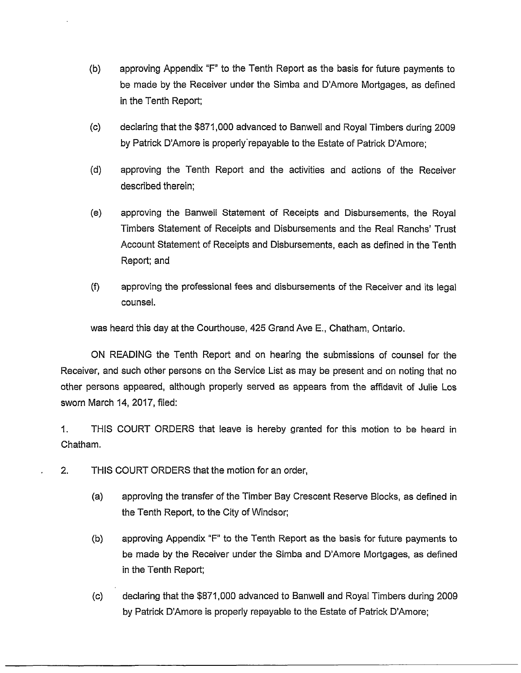- (b) approving Appendix "F" to the Tenth Report as the basis for future payments to be made by the Receiver under the Simba and D'Amore Mortgages, as defined in the Tenth Report;
- (c) declaring that the \$871,000 advanced to Banwell and Royal Timbers during 2009 by Patrick D'Amore is properly'repayable to the Estate of Patrick D'Amore;
- (d) approving the Tenth Report and the activities and actions of the Receiver described therein;
- (e) approving the Banwell Statement of Receipts and Disbursements, the Royal Timbers Statement of Receipts and Disbursements and the Real Ranchs' Trust Account Statement of Receipts and Disbursements, each as defined in the Tenth Report; and
- (f) approving the professional fees and disbursements of the Receiver and its legal counsel.

was heard this day at the Courthouse, 425 Grand Ave E., Chatham, Ontario.

ON READING the Tenth Report and on hearing the submissions of counsel for the Receiver, and such other persons on the Service List as may be present and on noting that no other persons appeared, although properly served as appears from the affidavit of Julie Los sworn March 14, 2017, filed:

1. THIS COURT ORDERS that leave is hereby granted for this motion to be heard in Chatham.

- 2. THIS COURT ORDERS that the motion for an order,
	- (a) approving the transfer of the Timber Bay Crescent Reserve Blocks, as defined in the Tenth Report, to the City of Windsor;
	- (b) approving Appendix "F" to the Tenth Report as the basis for future payments to be made by the Receiver under the Simba and D'Amore Mortgages, as defined in the Tenth Report;
	- (c) declaring that the \$871,000 advanced to Banwell and Royal Timbers during 2009 by Patrick D'Amore is properly repayable to the Estate of Patrick D'Amore;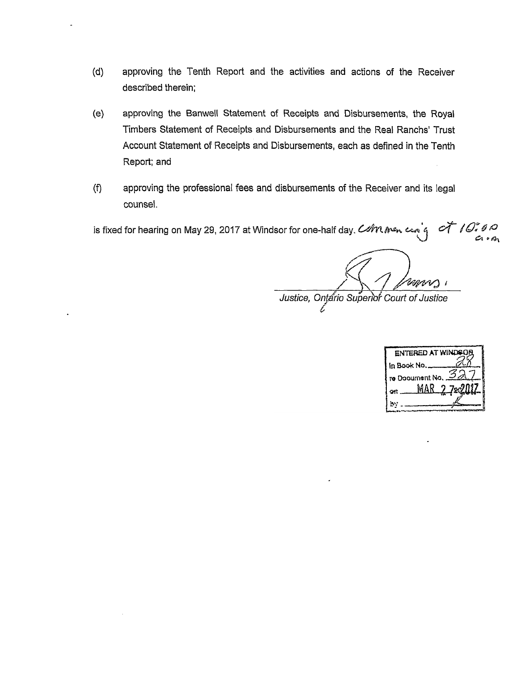- (d) approving the Tenth Report and the activities and actions of the Receiver described therein;
- (e) approving the Banwell Statement of Receipts and Disbursements, the Royal Timbers Statement of Receipts and Disbursements and the Real Ranchs' Trust Account Statement of Receipts and Disbursements, each as defined in the Tenth Report; and
- (f) approving the professional fees and disbursements of the Receiver and its legal counsel.

is fixed for hearing on May 29, 2017 at Windsor for one-half day. *Commentary of 10,000* 

Vaan 1 Justice, Ontario Superior Court of Justice

**ENTERED AT WINDOG** in Book No re Dooument No. MAR **on** 

b)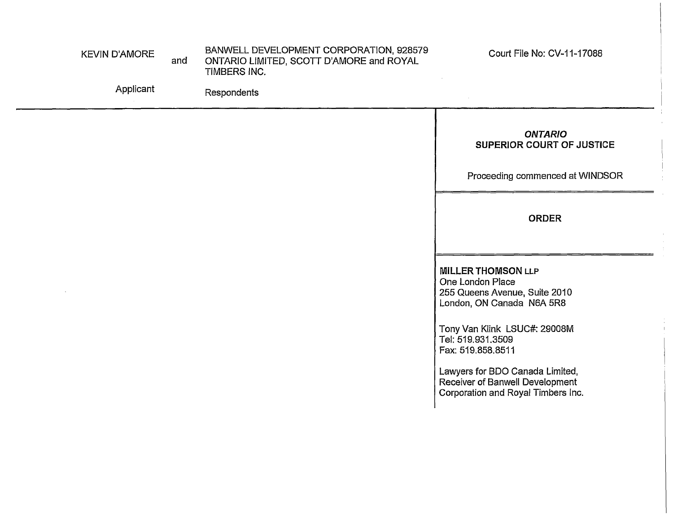| <b>KEVIN D'AMORE</b><br>Applicant | and | BANWELL DEVELOPMENT CORPORATION, 928579<br>ONTARIO LIMITED, SCOTT D'AMORE and ROYAL<br>TIMBERS INC.<br>Respondents | Court File No: CV-11-17088                                                                                  |
|-----------------------------------|-----|--------------------------------------------------------------------------------------------------------------------|-------------------------------------------------------------------------------------------------------------|
|                                   |     |                                                                                                                    | <b>ONTARIO</b><br>SUPERIOR COURT OF JUSTICE<br>Proceeding commenced at WINDSOR                              |
|                                   |     |                                                                                                                    | <b>ORDER</b>                                                                                                |
|                                   |     |                                                                                                                    | <b>MILLER THOMSON LLP</b><br>One London Place<br>255 Queens Avenue, Suite 2010<br>London, ON Canada N6A 5R8 |
|                                   |     |                                                                                                                    | Tony Van Klink LSUC#: 29008M<br>Tel: 519.931.3509<br>Fax: 519.858.8511<br>Lawyers for BDO Canada Limited,   |
|                                   |     |                                                                                                                    | Receiver of Banwell Development<br>Corporation and Royal Timbers Inc.                                       |
|                                   |     |                                                                                                                    |                                                                                                             |

 $\frac{1}{4}$  $\alpha$ 

 $\frac{1}{2}$ 

 $\begin{array}{c} \mathbf{1} & \mathbf{1} \\ \mathbf{1} & \mathbf{1} \\ \mathbf{1} & \mathbf{1} \\ \mathbf{1} & \mathbf{1} \\ \mathbf{1} & \mathbf{1} \end{array}$ 

 $\frac{1}{4}$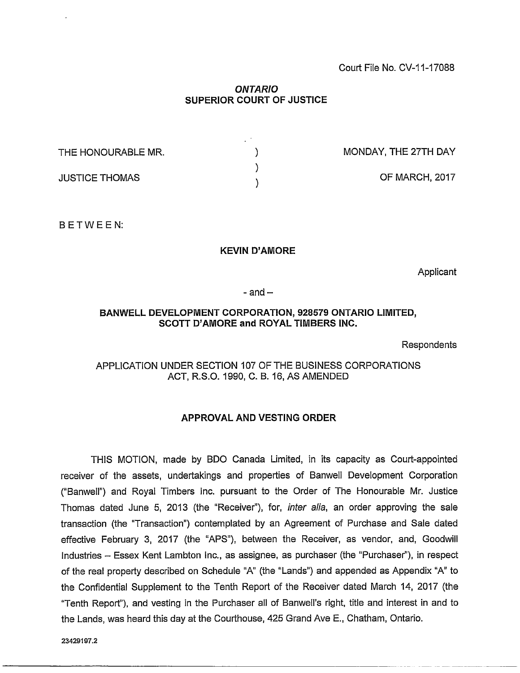## Court File No. CV-11-17088

## *ONTARIO* **SUPERIOR COURT OF JUSTICE**

| THE HONOURABLE MR.    | MONDAY, THE 27TH DAY |
|-----------------------|----------------------|
| <b>JUSTICE THOMAS</b> | OF MARCH, 2017       |

BETWEEN:

## **KEVIN D'AMORE**

Applicant

 $-$  and  $-$ 

#### **BANWELL DEVELOPMENT CORPORATION, 928579 ONTARIO LIMITED, SCOTT D'AMORE and ROYAL TIMBERS INC.**

**Respondents** 

# APPLICATION UNDER SECTION 107 OF THE BUSINESS CORPORATIONS ACT, R.S.O. 1990, C. B. 16, AS AMENDED

# **APPROVAL AND VESTING ORDER**

THIS MOTION, made by BDO Canada Limited, in its capacity as Court-appointed receiver of the assets, undertakings and properties of Banwell Development Corporation ("Banwell") and Royal Timbers Inc. pursuant to the Order of The Honourable Mr. Justice Thomas dated June 5, 2013 (the "Receiver"), for, *inter alia,* an order approving the sale transaction (the "Transaction") contemplated by an Agreement of Purchase and Sale dated effective February 3, 2017 (the "APS"), between the Receiver, as vendor, and, Goodwill Industries - Essex Kent Lambton Inc., as assignee, as purchaser (the "Purchaser"), in respect of the real property described on Schedule "A" (the "Lands") and appended as Appendix "A" to the Confidential Supplement to the Tenth Report of the Receiver dated March 14, 2017 (the "Tenth Report"), and vesting in the Purchaser all of Banwell's right, title and interest in and to the Lands, was heard this day at the Courthouse, 425 Grand Ave E., Chatham, Ontario.

**23429197.2**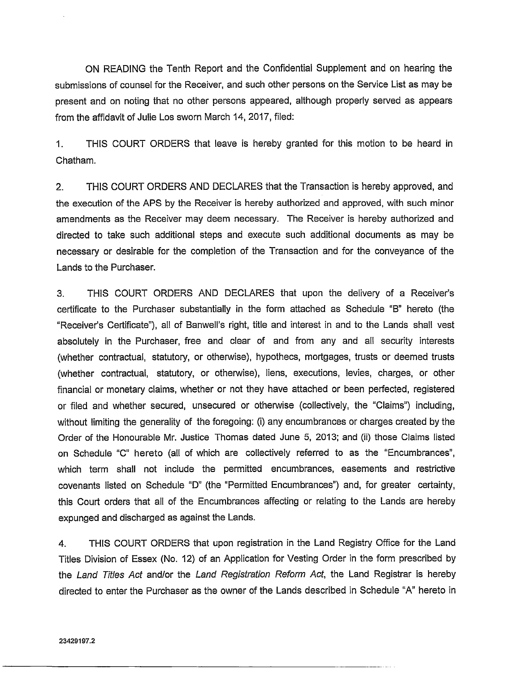ON READING the Tenth Report and the Confidential Supplement and on hearing the submissions of counsel for the Receiver, and such other persons on the Service List as may be present and on noting that no other persons appeared, although properly served as appears from the affidavit of Julie Los sworn March 14, 2017, filed:

1. THIS COURT ORDERS that leave is hereby granted for this motion to be heard in Chatham.

2. THIS COURT ORDERS AND DECLARES that the Transaction is hereby approved, and the execution of the APS by the Receiver is hereby authorized and approved, with such minor amendments as the Receiver may deem necessary. The Receiver is hereby authorized and directed to take such additional steps and execute such additional documents as may be necessary or desirable for the completion of the Transaction and for the conveyance of the Lands to the Purchaser.

3. THIS COURT ORDERS AND DECLARES that upon the delivery of a Receiver's certificate to the Purchaser substantially in the form attached as Schedule "B" hereto (the "Receiver's Certificate"), all of Banwell's right, title and interest in and to the Lands shall vest absolutely in the Purchaser, free and clear of and from any and all security interests (whether contractual, statutory, or otherwise), hypothecs, mortgages, trusts or deemed trusts (whether contractual, statutory, or otherwise), liens, executions, levies, charges, or other financial or monetary claims, whether or not they have attached or been perfected, registered or filed and whether secured, unsecured or otherwise (collectively, the "Claims") including, without limiting the generality of the foregoing: (i) any encumbrances or charges created by the Order of the Honourable Mr. Justice Thomas dated June 5, 2013; and (ii) those Claims listed on Schedule "C" hereto (all of which are collectively referred to as the "Encumbrances", which term shall not include the permitted encumbrances, easements and restrictive covenants listed on Schedule "D" (the "Permitted Encumbrances") and, for greater certainty, this Court orders that all of the Encumbrances affecting or relating to the Lands are hereby expunged and discharged as against the Lands.

4. THIS COURT ORDERS that upon registration in the Land Registry Office for the Land Titles Division of Essex (No. 12) of an Application for Vesting Order in the form prescribed by the *Land Titles Act* and/or the *Land Registration Reform Act,* the Land Registrar is hereby directed to enter the Purchaser as the owner of the Lands described in Schedule "A" hereto in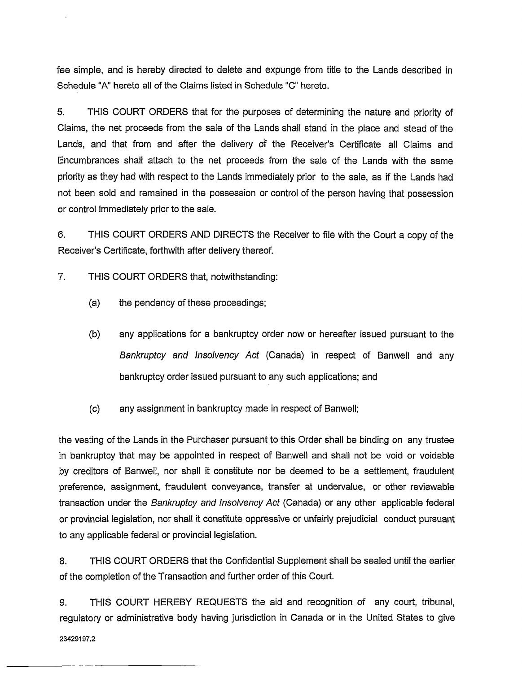fee simple, and is hereby directed to delete and expunge from title to the Lands described in Schedule "A" hereto all of the Claims listed in Schedule "C" hereto.

5. THIS COURT ORDERS that for the purposes of determining the nature and priority of Claims, the net proceeds from the sale of the Lands shall stand in the place and stead of the Lands, and that from and after the delivery of the Receiver's Certificate all Claims and Encumbrances shall attach to the net proceeds from the sale of the Lands with the same priority as they had with respect to the Lands immediately prior to the sale, as if the Lands had not been sold and remained in the possession or control of the person having that possession or control immediately prior to the sale.

6. THIS COURT ORDERS AND DIRECTS the Receiver to file with the Court a copy of the Receiver's Certificate, forthwith after delivery thereof.

7. THIS COURT ORDERS that, notwithstanding:

- (a) the pendency of these proceedings;
- (b) any applications for a bankruptcy order now or hereafter issued pursuant to the *Bankruptcy and Insolvency Act* (Canada) in respect of Banwell and any bankruptcy order issued pursuant to any such applications; and
- (c) any assignment in bankruptcy made in respect of Banwell;

the vesting of the Lands in the Purchaser pursuant to this Order shall be binding on any trustee in bankruptcy that may be appointed in respect of Banwell and shall not be void or voidable by creditors of Banwell, nor shall it constitute nor be deemed to be a settlement, fraudulent preference, assignment, fraudulent conveyance, transfer at undervalue, or other reviewable transaction under the *Bankruptcy and Insolvency Act* (Canada) or any other applicable federal or provincial legislation, nor shall it constitute oppressive or unfairly prejudicial conduct pursuant to any applicable federal or provincial legislation.

8. THIS COURT ORDERS that the Confidential Supplement shall be sealed until the earlier of the completion of the Transaction and further order of this Court.

9. THIS COURT HEREBY REQUESTS the aid and recognition of any court, tribunal, regulatory or administrative body having jurisdiction in Canada or in the United States to give

**23429197.2**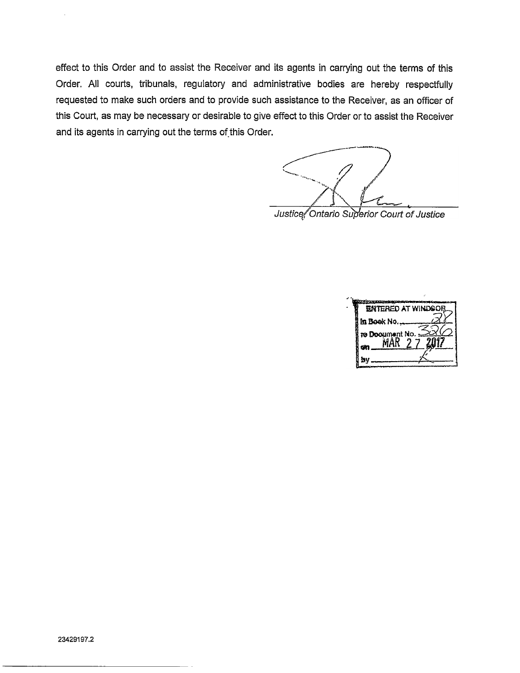effect to this Order and to assist the Receiver and its agents in carrying out the terms of this Order. All courts, tribunals, regulatory and administrative bodies are hereby respectfully requested to make such orders and to provide such assistance to the Receiver, as an officer of this Court, as may be necessary or desirable to give effect to this Order or to assist the Receiver and its agents in carrying out the terms of this Order.

Justice Ontario Superior Court of Justice

**ENTERED AT WINDSON** in Book No., re Document No. MAR **by** 

 $\bar{z}$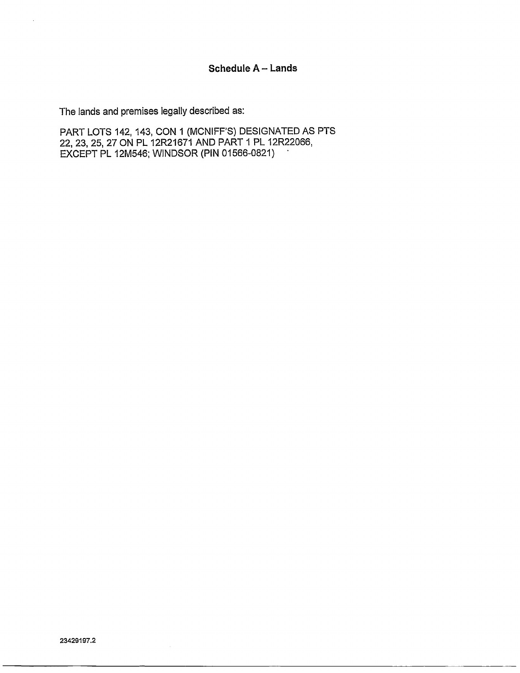The lands and premises legally described as:

PART LOTS 142, 143, CON 1 (MCNIFF'S) DESIGNATED AS PTS 22, 23, 25, 27 ON PL 12R21671 AND PART <sup>1</sup> PL 12R22066, EXCEPT PL 12M546; WINDSOR (PIN 01566-0821)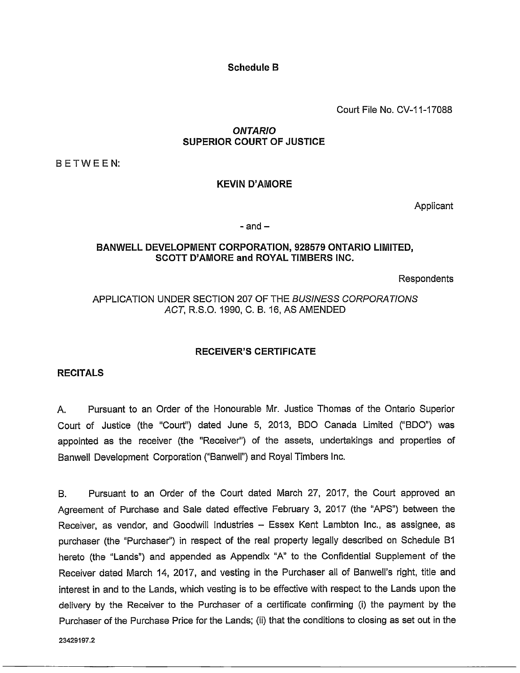**Schedule B**

Court File No. CV-11-17088

# *ONTARIO* **SUPERIOR COURT OF JUSTICE**

BETWEEN:

# **KEVIN D'AMORE**

**Applicant** 

#### $-$  and  $-$

## **BANWELL DEVELOPMENT CORPORATION, 928579 ONTARIO LIMITED, SCOTT D'AMORE and ROYAL TIMBERS INC.**

Respondents

## APPLICATION UNDER SECTION 207 OF THE *BUSINESS CORPORATIONS ACT*, R.S.O. 1990, C. B. 16, AS AMENDED

# **RECEIVER'S CERTIFICATE**

## **RECITALS**

A. Pursuant to an Order of the Honourable Mr. Justice Thomas of the Ontario Superior Court of Justice (the "Court") dated June 5, 2013, BDO Canada Limited ("BDO") was appointed as the receiver (the "Receiver") of the assets, undertakings and properties of Banwell Development Corporation ("Banwell") and Royal Timbers Inc.

B. Pursuant to an Order of the Court dated March 27, 2017, the Court approved an Agreement of Purchase and Sale dated effective February 3, 2017 (the "APS") between the Receiver, as vendor, and Goodwill Industries - Essex Kent Lambton Inc., as assignee, as purchaser (the "Purchaser") in respect of the real property legally described on Schedule B1 hereto (the "Lands") and appended as Appendix "A" to the Confidential Supplement of the Receiver dated March 14, 2017, and vesting in the Purchaser all of Banwell's right, title and interest in and to the Lands, which vesting is to be effective with respect to the Lands upon the delivery by the Receiver to the Purchaser of a certificate confirming (i) the payment by the Purchaser of the Purchase Price for the Lands; (ii) that the conditions to closing as set out in the

**23429197.2**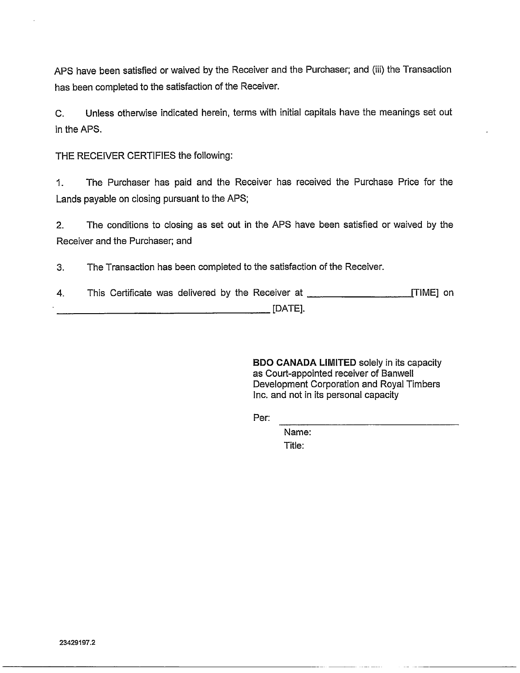APS have been satisfied or waived by the Receiver and the Purchaser; and (iii) the Transaction has been completed to the satisfaction of the Receiver.

C. Unless otherwise indicated herein, terms with initial capitals have the meanings set out in the APS.

THE RECEIVER CERTIFIES the following:

1. The Purchaser has paid and the Receiver has received the Purchase Price for the Lands payable on closing pursuant to the APS;

2. The conditions to closing as set out in the APS have been satisfied or waived by the Receiver and the Purchaser; and

3. The Transaction has been completed to the satisfaction of the Receiver.

4. This Certificate was delivered by the Receiver at\_\_\_\_\_\_\_\_\_\_\_\_\_\_\_\_\_\_\_\_\_[TIME] on  $[DATE].$ 

> BDO CANADA LIMITED solely in its capacity as Court-appointed receiver of Banwell Development Corporation and Royal Timbers Inc. and not in its personal capacity

Per:

Name: Title: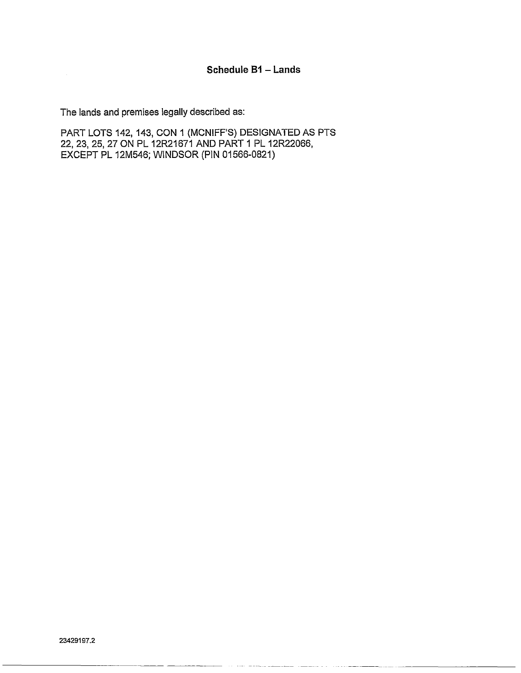The lands and premises legally described as:

PART LOTS 142, 143, CON 1 (MCNIFF'S) DESIGNATED AS PTS 22, 23, 25, 27 ON PL 12R21671 AND PART <sup>1</sup> PL 12R22066, EXCEPT PL 12M546; WINDSOR (PIN 01566-0821)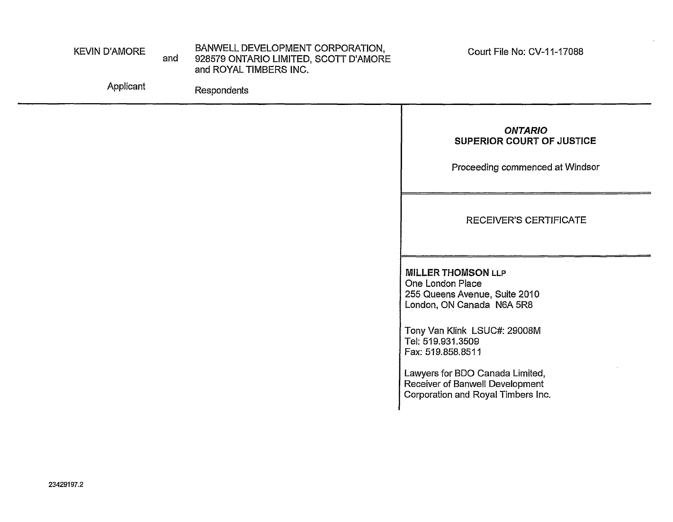| <b>KEVIN D'AMORE</b> | and | BANWELL DEVELOPMENT CORPORATION,<br>928579 ONTARIO LIMITED, SCOTT D'AMORE<br>and ROYAL TIMBERS INC. | Court File No: CV-11-17088                                                     |
|----------------------|-----|-----------------------------------------------------------------------------------------------------|--------------------------------------------------------------------------------|
| Applicant            |     | Respondents                                                                                         |                                                                                |
|                      |     |                                                                                                     | <b>ONTARIO</b><br>SUPERIOR COURT OF JUSTICE<br>Proceeding commenced at Windsor |
|                      |     |                                                                                                     | RECEIVER'S CERTIFICATE                                                         |

MILLER THOMSON **LLP** One London Place 255 Queens Avenue, Suite 2010 London, ON Canada N6A 5R8

Tony Van Klink LSUC#: 29008M Tel: 519.931.3509 Fax: 519.858.8511

Lawyers for BDO Canada Limited, Receiver of Banwell Development Corporation and Royal Timbers Inc,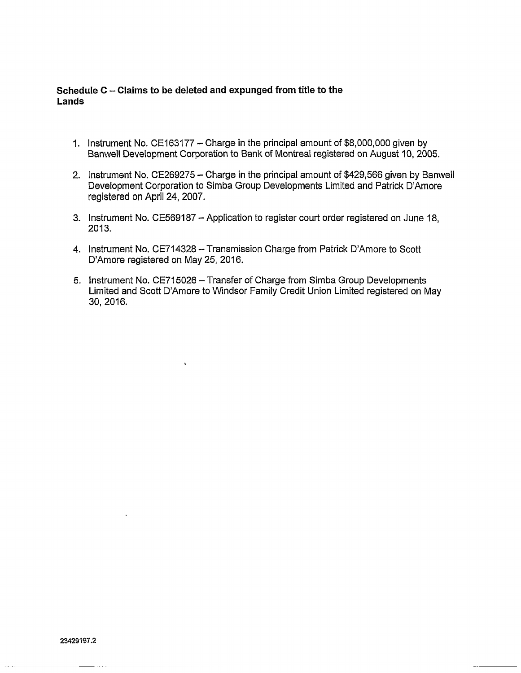# **Schedule <sup>C</sup> - Claims to be deleted and expunged from title to the Lands**

- 1. Instrument No. CE163177 Charge in the principal amount of \$8,000,000 given by Banwell Development Corporation to Bank of Montreal registered on August 10, 2005.
- 2. Instrument No. CE269275 Charge in the principal amount of \$429,566 given by Banwell Development Corporation to Simba Group Developments Limited and Patrick D'Amore registered on April 24, 2007.
- 3. Instrument No. CE569187 Application to register court order registered on June 18, 2013.
- 4. Instrument No. CE714328 Transmission Charge from Patrick D'Amore to Scott D'Amore registered on May 25, 2016.
- 5. Instrument No. CE715026 Transfer of Charge from Simba Group Developments Limited and Scott D'Amore to Windsor Family Credit Union Limited registered on May 30, 2016.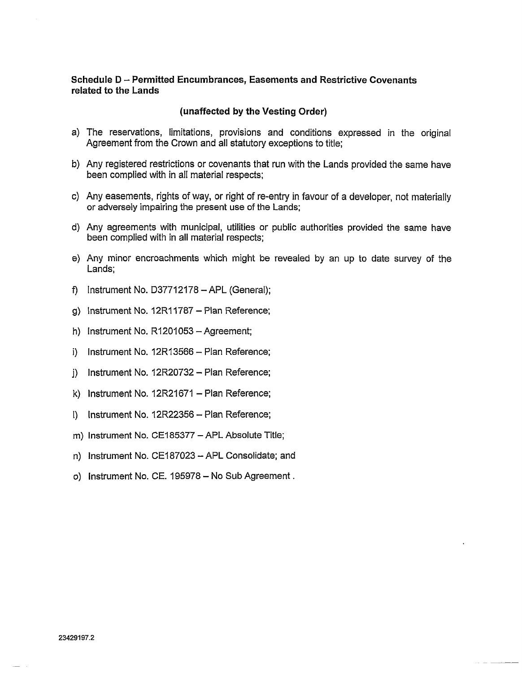## **Schedule <sup>D</sup> - Permitted Encumbrances, Easements and Restrictive Covenants related to the Lands**

## **(unaffected by the Vesting Order)**

- a) The reservations, limitations, provisions and conditions expressed in the original Agreement from the Crown and all statutory exceptions to title;
- b) Any registered restrictions or covenants that run with the Lands provided the same have been complied with in all material respects;
- c) Any easements, rights of way, or right of re-entry in favour of a developer, not materially or adversely impairing the present use of the Lands;
- d) Any agreements with municipal, utilities or public authorities provided the same have been complied with in all material respects;
- e) Any minor encroachments which might be revealed by an up to date survey of the Lands;
- f) Instrument No. D37712178  $-$  APL (General);
- g) Instrument No. 12R11787 Plan Reference;
- h) Instrument No. R1201053 Agreement;
- i) Instrument No.  $12R13566 -$  Plan Reference;
- j) Instrument No.  $12R20732 Plan$  Reference;
- k) Instrument No.  $12R21671 Plan$  Reference;
- $\vert$ ) Instrument No. 12R22356 Plan Reference;
- m) Instrument No. CE185377 APL Absolute Title;
- n) Instrument No. CE187023 APL Consolidate; and
- o) Instrument No. CE. 195978 No Sub Agreement.